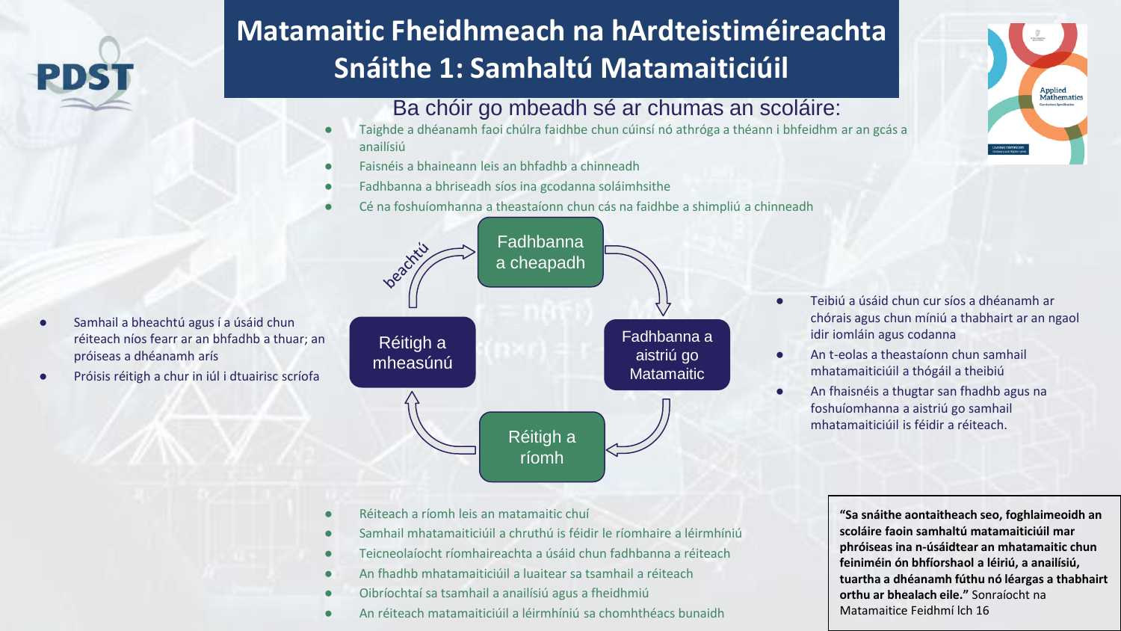## **Matamaitic Fheidhmeach na hArdteistiméireachta Snáithe 1: Samhaltú Matamaiticiúil**

## Ba chóir go mbeadh sé ar chumas an scoláire:

- Taighde a dhéanamh faoi chúlra faidhbe chun cúinsí nó athróga a théann i bhfeidhm ar an gcás a anailísiú
- Faisnéis a bhaineann leis an bhfadhb a chinneadh
- Fadhbanna a bhriseadh síos ina gcodanna soláimhsithe
- Cé na foshuíomhanna a theastaíonn chun cás na faidhbe a shimpliú a chinneadh



Próisis réitigh a chur in iúl i dtuairisc scríofa



- Teibiú a úsáid chun cur síos a dhéanamh ar chórais agus chun míniú a thabhairt ar an ngaol idir iomláin agus codanna
- An t-eolas a theastaíonn chun samhail mhatamaiticiúil a thógáil a theibiú
- An fhaisnéis a thugtar san fhadhb agus na foshuíomhanna a aistriú go samhail mhatamaiticiúil is féidir a réiteach.

- Réiteach a ríomh leis an matamaitic chuí
- Samhail mhatamaiticiúil a chruthú is féidir le ríomhaire a léirmhíniú
- Teicneolaíocht ríomhaireachta a úsáid chun fadhbanna a réiteach
- An fhadhb mhatamaiticiúil a luaitear sa tsamhail a réiteach
- Oibríochtaí sa tsamhail a anailísiú agus a fheidhmiú
- An réiteach matamaiticiúil a léirmhíniú sa chomhthéacs bunaidh

**"Sa snáithe aontaitheach seo, foghlaimeoidh an scoláire faoin samhaltú matamaiticiúil mar phróiseas ina n-úsáidtear an mhatamaitic chun feiniméin ón bhfíorshaol a léiriú, a anailísiú, tuartha a dhéanamh fúthu nó léargas a thabhairt orthu ar bhealach eile."** Sonraíocht na Matamaitice Feidhmí lch 16